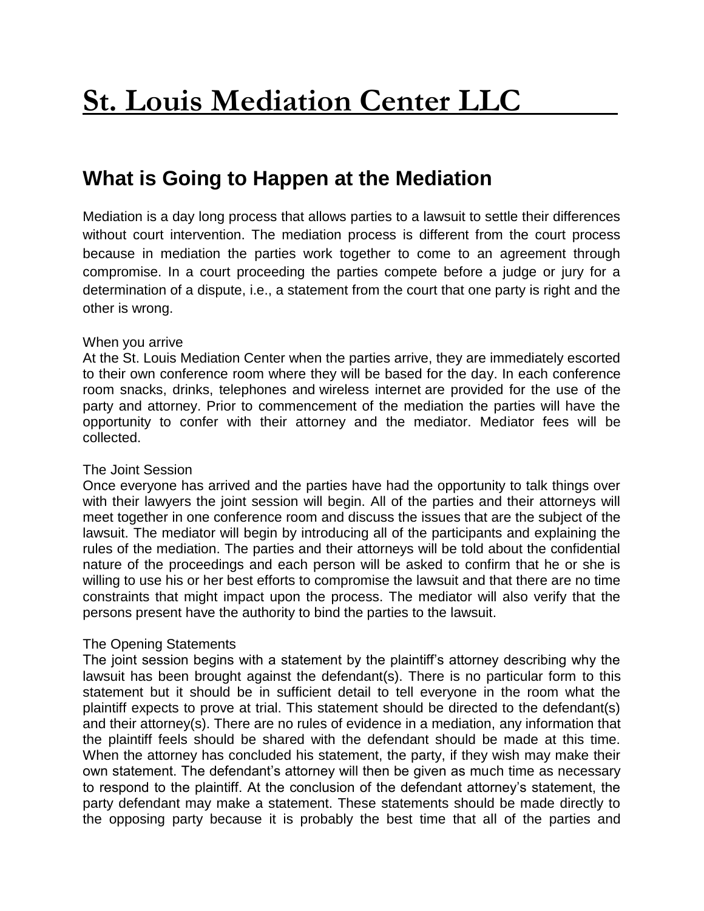# **What is Going to Happen at the Mediation**

Mediation is a day long process that allows parties to a lawsuit to settle their differences without court intervention. The mediation process is different from the court process because in mediation the parties work together to come to an agreement through compromise. In a court proceeding the parties compete before a judge or jury for a determination of a dispute, i.e., a statement from the court that one party is right and the other is wrong.

## When you arrive

At the St. Louis Mediation Center when the parties arrive, they are immediately escorted to their own conference room where they will be based for the day. In each conference room snacks, drinks, telephones and wireless internet are provided for the use of the party and attorney. Prior to commencement of the mediation the parties will have the opportunity to confer with their attorney and the mediator. Mediator fees will be collected.

## The Joint Session

Once everyone has arrived and the parties have had the opportunity to talk things over with their lawyers the joint session will begin. All of the parties and their attorneys will meet together in one conference room and discuss the issues that are the subject of the lawsuit. The mediator will begin by introducing all of the participants and explaining the rules of the mediation. The parties and their attorneys will be told about the confidential nature of the proceedings and each person will be asked to confirm that he or she is willing to use his or her best efforts to compromise the lawsuit and that there are no time constraints that might impact upon the process. The mediator will also verify that the persons present have the authority to bind the parties to the lawsuit.

## The Opening Statements

The joint session begins with a statement by the plaintiff's attorney describing why the lawsuit has been brought against the defendant(s). There is no particular form to this statement but it should be in sufficient detail to tell everyone in the room what the plaintiff expects to prove at trial. This statement should be directed to the defendant(s) and their attorney(s). There are no rules of evidence in a mediation, any information that the plaintiff feels should be shared with the defendant should be made at this time. When the attorney has concluded his statement, the party, if they wish may make their own statement. The defendant's attorney will then be given as much time as necessary to respond to the plaintiff. At the conclusion of the defendant attorney's statement, the party defendant may make a statement. These statements should be made directly to the opposing party because it is probably the best time that all of the parties and